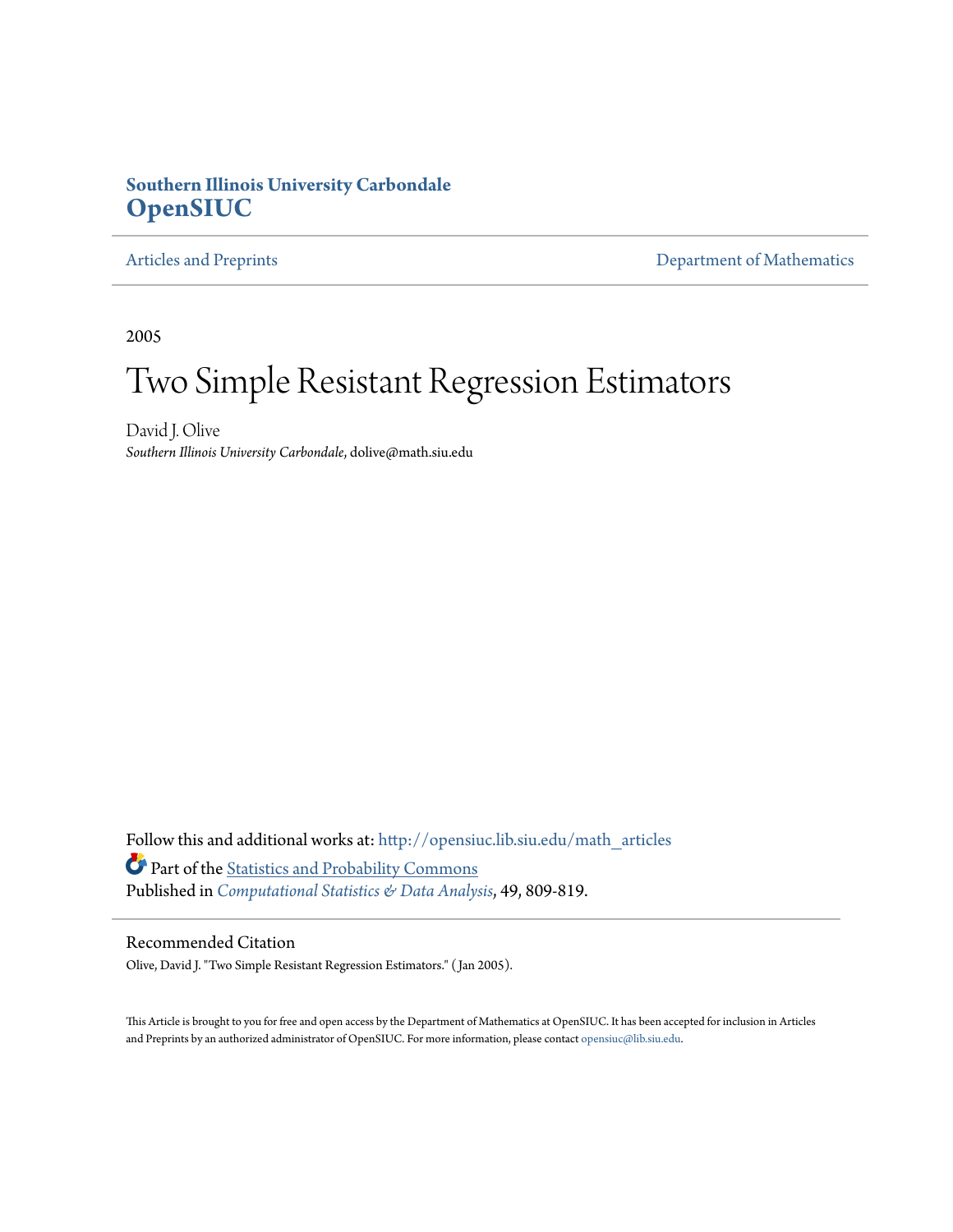#### **Southern Illinois University Carbondale [OpenSIUC](http://opensiuc.lib.siu.edu?utm_source=opensiuc.lib.siu.edu%2Fmath_articles%2F11&utm_medium=PDF&utm_campaign=PDFCoverPages)**

[Articles and Preprints](http://opensiuc.lib.siu.edu/math_articles?utm_source=opensiuc.lib.siu.edu%2Fmath_articles%2F11&utm_medium=PDF&utm_campaign=PDFCoverPages) **[Department of Mathematics](http://opensiuc.lib.siu.edu/math?utm_source=opensiuc.lib.siu.edu%2Fmath_articles%2F11&utm_medium=PDF&utm_campaign=PDFCoverPages)** 

2005

# Two Simple Resistant Regression Estimators

David J. Olive *Southern Illinois University Carbondale*, dolive@math.siu.edu

Follow this and additional works at: [http://opensiuc.lib.siu.edu/math\\_articles](http://opensiuc.lib.siu.edu/math_articles?utm_source=opensiuc.lib.siu.edu%2Fmath_articles%2F11&utm_medium=PDF&utm_campaign=PDFCoverPages) Part of the [Statistics and Probability Commons](http://network.bepress.com/hgg/discipline/208?utm_source=opensiuc.lib.siu.edu%2Fmath_articles%2F11&utm_medium=PDF&utm_campaign=PDFCoverPages) Published in *[Computational Statistics & Data Analysis](http://www.elsevier.com/wps/find/journaldescription.cws_home/505539/description#description)*, 49, 809-819.

#### Recommended Citation

Olive, David J. "Two Simple Resistant Regression Estimators." ( Jan 2005).

This Article is brought to you for free and open access by the Department of Mathematics at OpenSIUC. It has been accepted for inclusion in Articles and Preprints by an authorized administrator of OpenSIUC. For more information, please contact [opensiuc@lib.siu.edu](mailto:opensiuc@lib.siu.edu).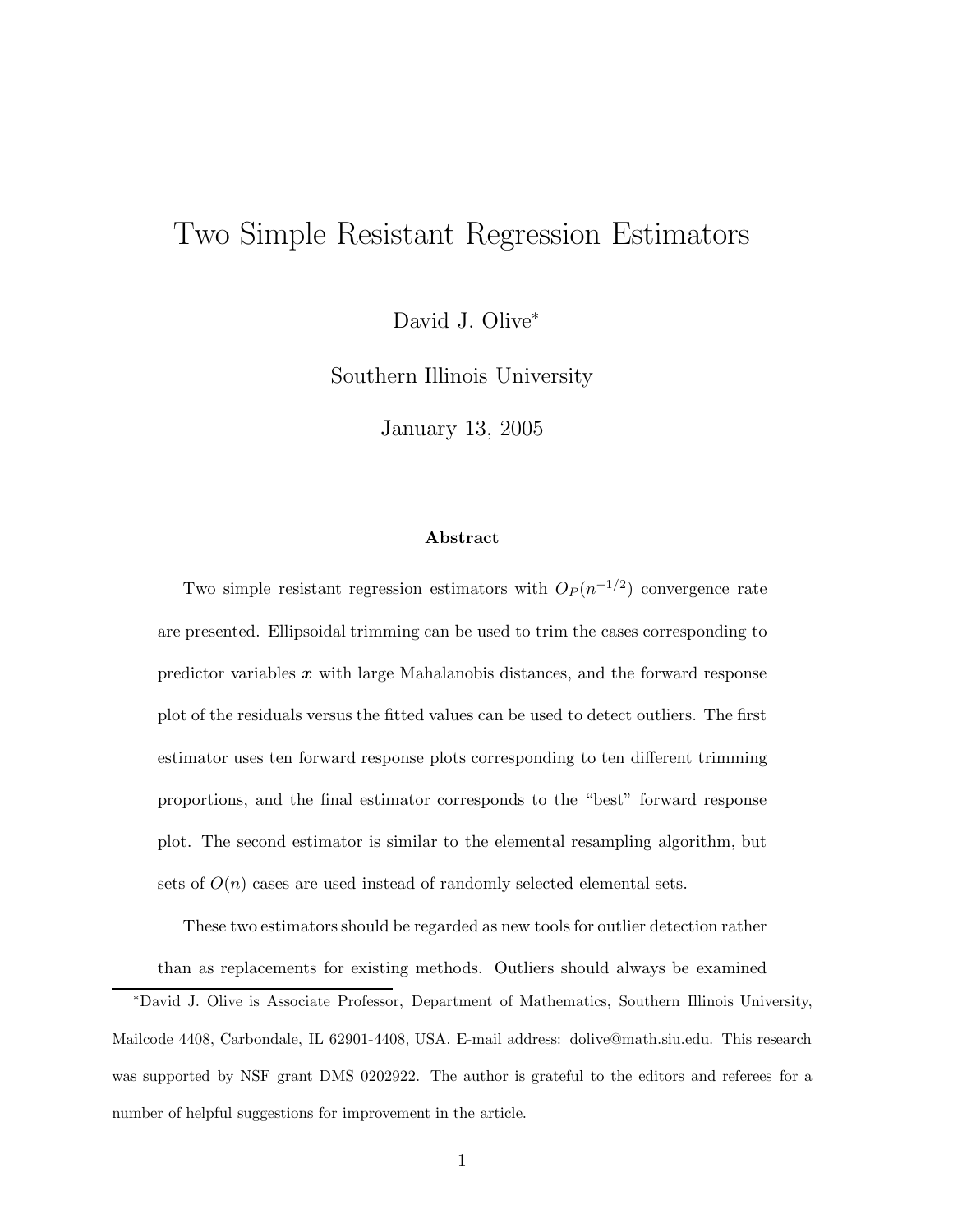## Two Simple Resistant Regression Estimators

David J. Olive<sup>∗</sup>

Southern Illinois University

January 13, 2005

#### **Abstract**

Two simple resistant regression estimators with  $O_P(n^{-1/2})$  convergence rate are presented. Ellipsoidal trimming can be used to trim the cases corresponding to predictor variables *x* with large Mahalanobis distances, and the forward response plot of the residuals versus the fitted values can be used to detect outliers. The first estimator uses ten forward response plots corresponding to ten different trimming proportions, and the final estimator corresponds to the "best" forward response plot. The second estimator is similar to the elemental resampling algorithm, but sets of  $O(n)$  cases are used instead of randomly selected elemental sets.

These two estimators should be regarded as new tools for outlier detection rather than as replacements for existing methods. Outliers should always be examined

<sup>∗</sup>David J. Olive is Associate Professor, Department of Mathematics, Southern Illinois University, Mailcode 4408, Carbondale, IL 62901-4408, USA. E-mail address: dolive@math.siu.edu. This research was supported by NSF grant DMS 0202922. The author is grateful to the editors and referees for a number of helpful suggestions for improvement in the article.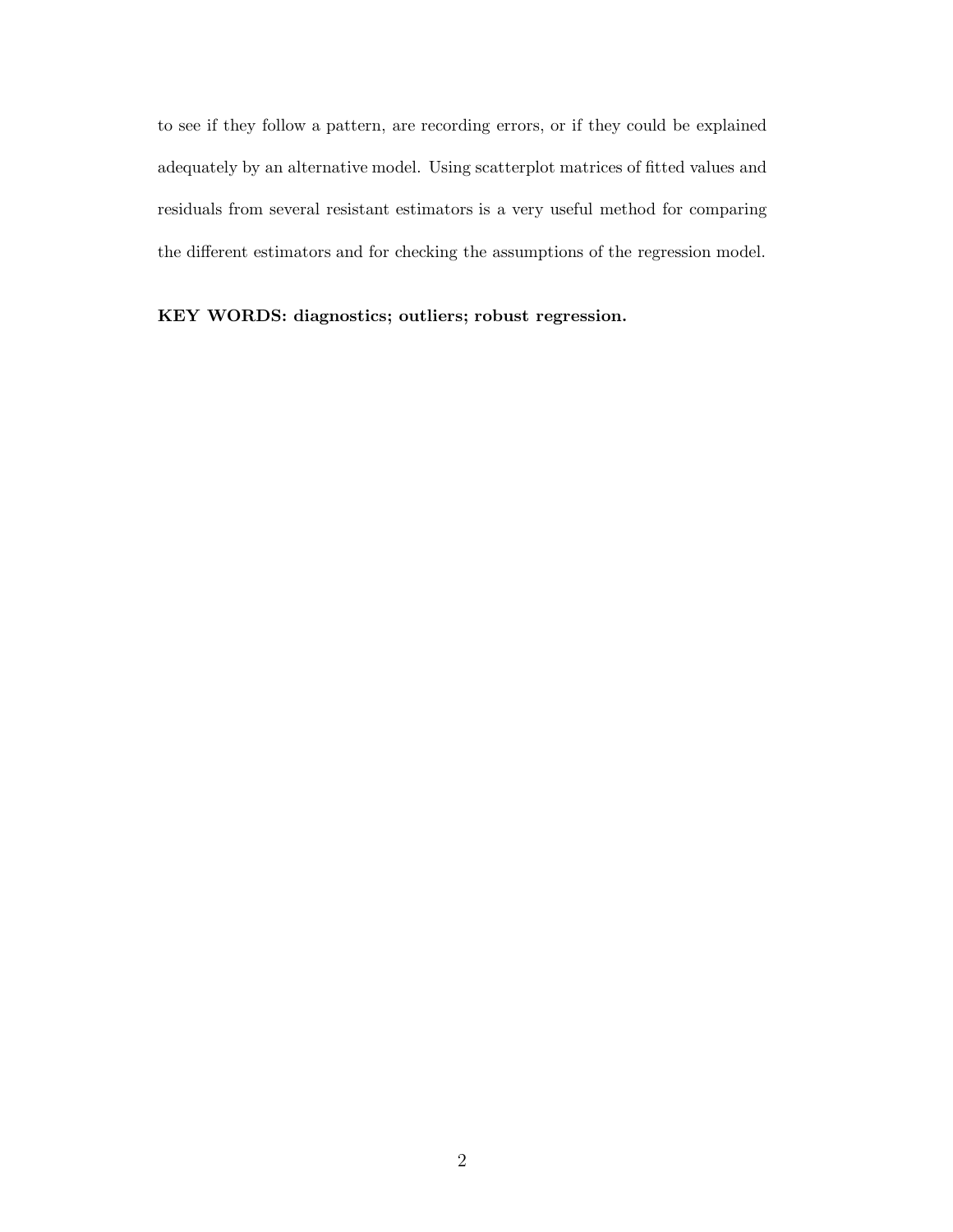to see if they follow a pattern, are recording errors, or if they could be explained adequately by an alternative model. Using scatterplot matrices of fitted values and residuals from several resistant estimators is a very useful method for comparing the different estimators and for checking the assumptions of the regression model.

**KEY WORDS: diagnostics; outliers; robust regression.**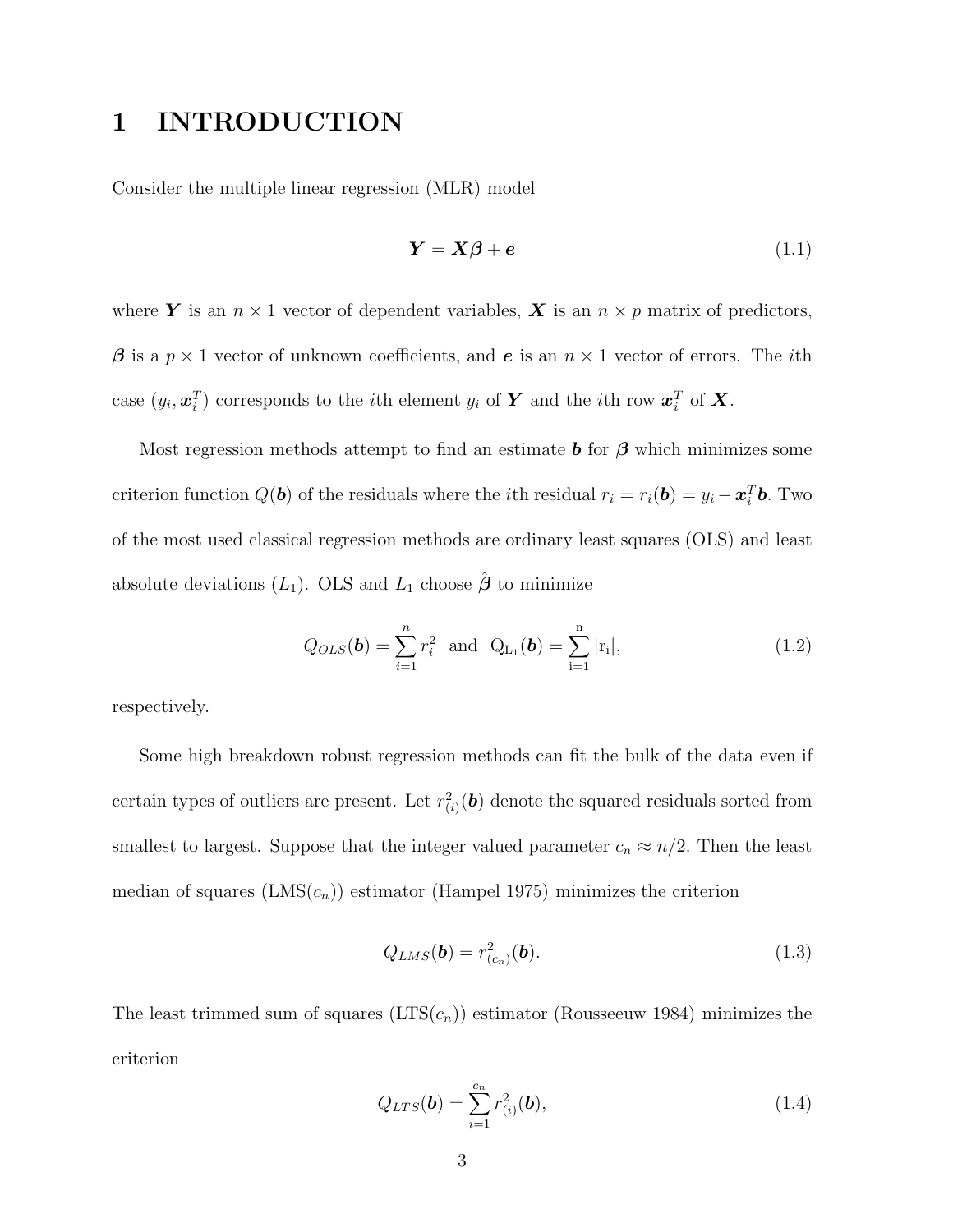### **1 INTRODUCTION**

Consider the multiple linear regression (MLR) model

$$
Y = X\beta + e \tag{1.1}
$$

where *Y* is an  $n \times 1$  vector of dependent variables, *X* is an  $n \times p$  matrix of predictors, *β* is a  $p \times 1$  vector of unknown coefficients, and *e* is an  $n \times 1$  vector of errors. The *i*th case  $(y_i, \boldsymbol{x}_i^T)$  corresponds to the *i*<sup>th</sup> element  $y_i$  of *Y* and the *i*<sup>th</sup> row  $\boldsymbol{x}_i^T$  of *X*.

Most regression methods attempt to find an estimate *b* for *β* which minimizes some criterion function  $Q(\boldsymbol{b})$  of the residuals where the *i*th residual  $r_i = r_i(\boldsymbol{b}) = y_i - \boldsymbol{x}_i^T \boldsymbol{b}$ . Two of the most used classical regression methods are ordinary least squares (OLS) and least absolute deviations  $(L_1)$ . OLS and  $L_1$  choose  $\hat{\boldsymbol{\beta}}$  to minimize

$$
Q_{OLS}(\mathbf{b}) = \sum_{i=1}^{n} r_i^2 \text{ and } Q_{L_1}(\mathbf{b}) = \sum_{i=1}^{n} |r_i|,
$$
 (1.2)

respectively.

Some high breakdown robust regression methods can fit the bulk of the data even if certain types of outliers are present. Let  $r^2_{(i)}(\boldsymbol{b})$  denote the squared residuals sorted from smallest to largest. Suppose that the integer valued parameter  $c_n \approx n/2$ . Then the least median of squares  $(LMS(c_n))$  estimator (Hampel 1975) minimizes the criterion

$$
Q_{LMS}(\mathbf{b}) = r_{(c_n)}^2(\mathbf{b}).
$$
\n(1.3)

The least trimmed sum of squares  $(LTS(c_n))$  estimator (Rousseeuw 1984) minimizes the criterion

$$
Q_{LTS}(\boldsymbol{b}) = \sum_{i=1}^{c_n} r_{(i)}^2(\boldsymbol{b}),
$$
\n(1.4)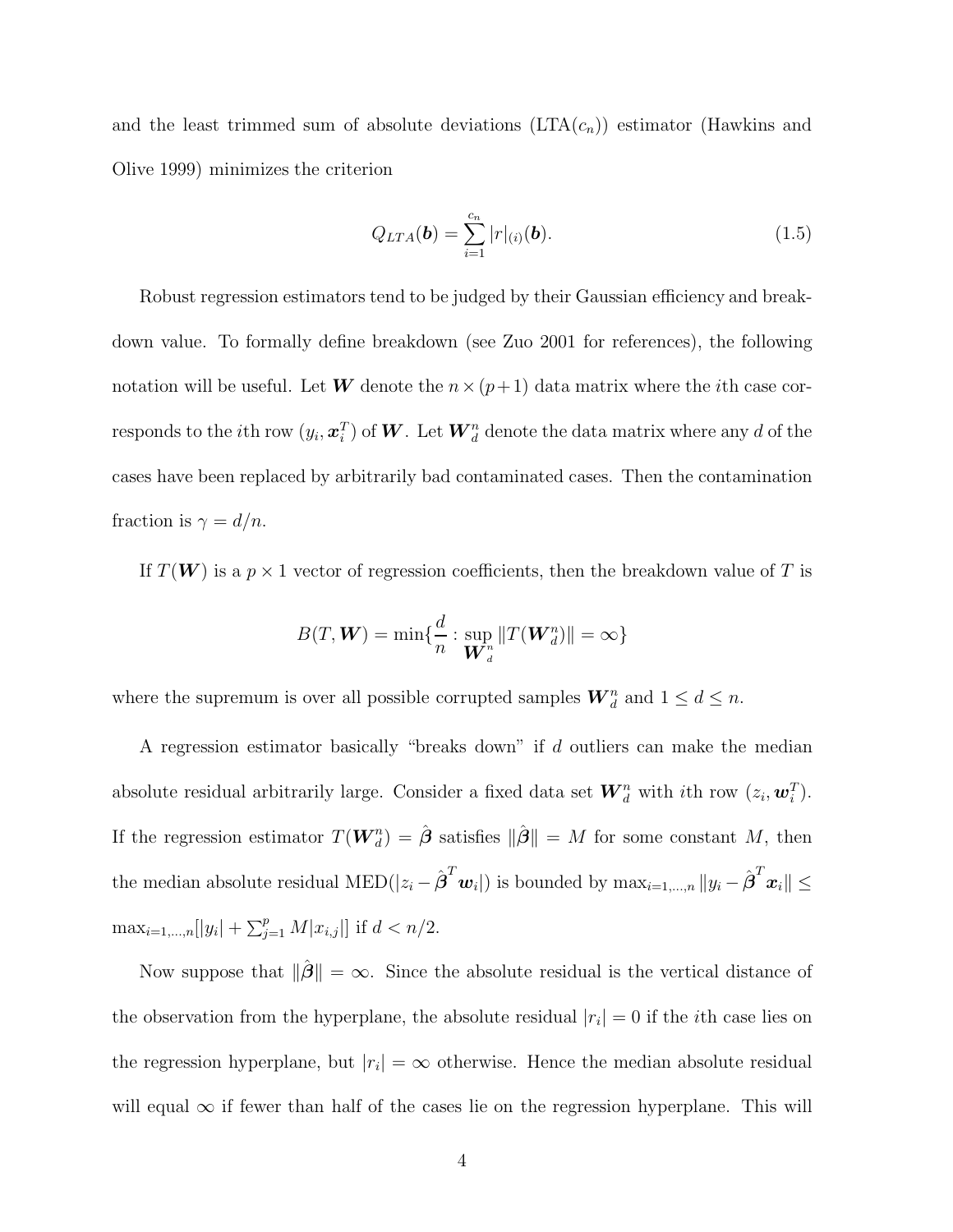and the least trimmed sum of absolute deviations  $(LTA(c_n))$  estimator (Hawkins and Olive 1999) minimizes the criterion

$$
Q_{LTA}(\boldsymbol{b}) = \sum_{i=1}^{c_n} |r|_{(i)}(\boldsymbol{b}).
$$
\n(1.5)

Robust regression estimators tend to be judged by their Gaussian efficiency and breakdown value. To formally define breakdown (see Zuo 2001 for references), the following notation will be useful. Let **W** denote the  $n \times (p+1)$  data matrix where the *i*th case corresponds to the *i*th row  $(y_i, \boldsymbol{x}_i^T)$  of  $\boldsymbol{W}$ . Let  $\boldsymbol{W}_d^n$  denote the data matrix where any  $d$  of the cases have been replaced by arbitrarily bad contaminated cases. Then the contamination fraction is  $\gamma = d/n$ .

If  $T(W)$  is a  $p \times 1$  vector of regression coefficients, then the breakdown value of T is

$$
B(T, \boldsymbol{W}) = \min\{\frac{d}{n} : \sup_{\boldsymbol{W}_d^n} \|T(\boldsymbol{W}_d^n)\| = \infty\}
$$

where the supremum is over all possible corrupted samples  $\boldsymbol{W}_d^n$  and  $1 \leq d \leq n$ .

A regression estimator basically "breaks down" if d outliers can make the median absolute residual arbitrarily large. Consider a fixed data set  $\mathbf{W}_d^n$  with *i*th row  $(z_i, \mathbf{w}_i^T)$ . If the regression estimator  $T(\boldsymbol{W}_{d}^{n}) = \hat{\boldsymbol{\beta}}$  satisfies  $\|\hat{\boldsymbol{\beta}}\| = M$  for some constant M, then the median absolute residual  $\text{MED}(|z_i - \hat{\boldsymbol{\beta}}^T \boldsymbol{w}_i|)$  is bounded by  $\max_{i=1,...,n} \|y_i - \hat{\boldsymbol{\beta}}^T \boldsymbol{x}_i\| \leq$  $\max_{i=1,\dots,n} [|y_i| + \sum_{j=1}^p M |x_{i,j}|]$  if  $d < n/2$ .

Now suppose that  $\|\hat{\boldsymbol{\beta}}\| = \infty$ . Since the absolute residual is the vertical distance of the observation from the hyperplane, the absolute residual  $|r_i| = 0$  if the *i*<sup>th</sup> case lies on the regression hyperplane, but  $|r_i| = \infty$  otherwise. Hence the median absolute residual will equal  $\infty$  if fewer than half of the cases lie on the regression hyperplane. This will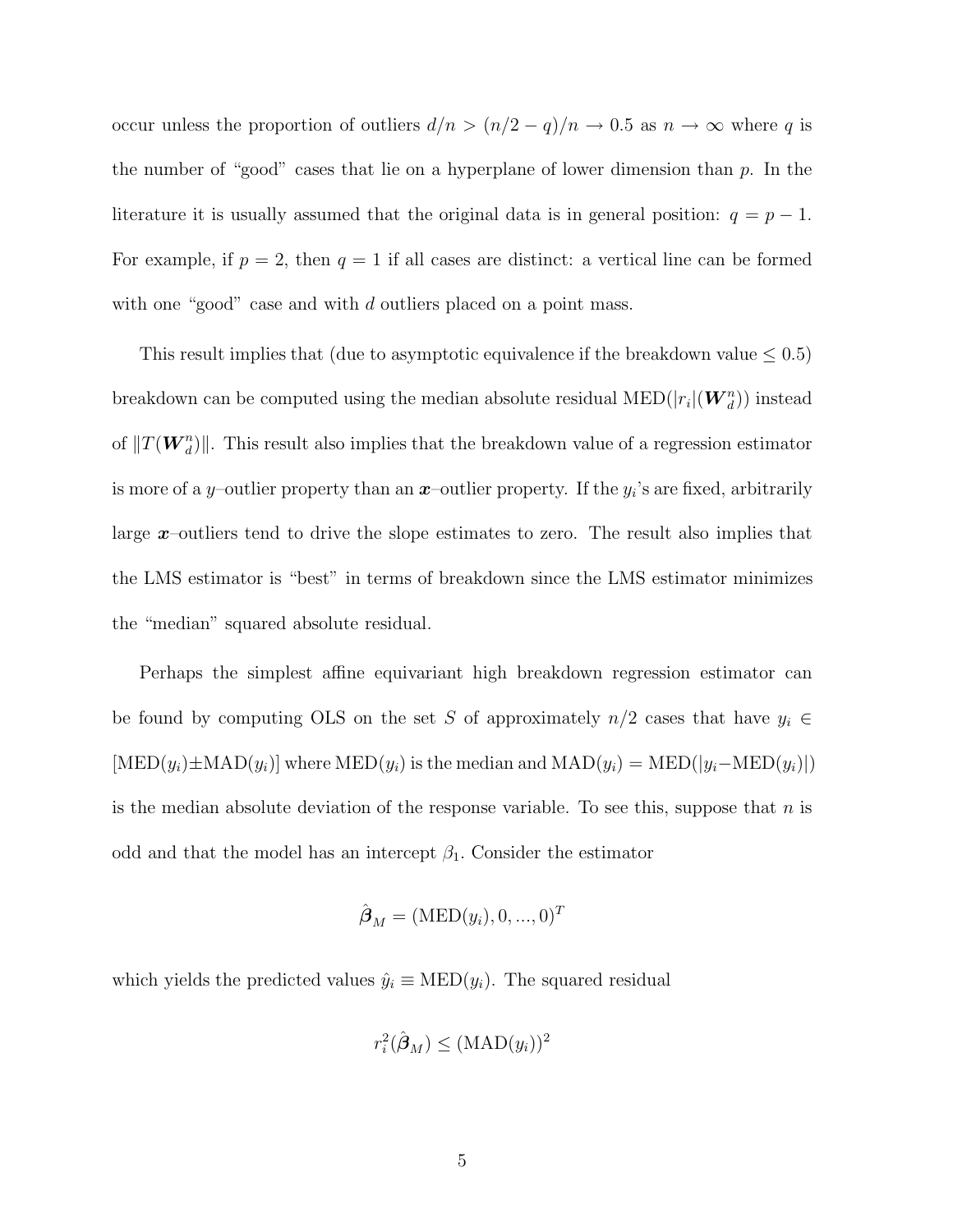occur unless the proportion of outliers  $d/n > (n/2 - q)/n \to 0.5$  as  $n \to \infty$  where q is the number of "good" cases that lie on a hyperplane of lower dimension than  $p$ . In the literature it is usually assumed that the original data is in general position:  $q = p - 1$ . For example, if  $p = 2$ , then  $q = 1$  if all cases are distinct: a vertical line can be formed with one "good" case and with d outliers placed on a point mass.

This result implies that (due to asymptotic equivalence if the breakdown value  $\leq 0.5$ ) breakdown can be computed using the median absolute residual  $\text{MED}(|r_i|(\boldsymbol{W}_d^n))$  instead of  $||T(\boldsymbol{W}_d^n)||$ . This result also implies that the breakdown value of a regression estimator is more of a *y*–outlier property than an *x*–outlier property. If the  $y_i$ 's are fixed, arbitrarily large *x*–outliers tend to drive the slope estimates to zero. The result also implies that the LMS estimator is "best" in terms of breakdown since the LMS estimator minimizes the "median" squared absolute residual.

Perhaps the simplest affine equivariant high breakdown regression estimator can be found by computing OLS on the set S of approximately  $n/2$  cases that have  $y_i \in$  $[MED(y_i)\pm MAD(y_i)]$  where  $MED(y_i)$  is the median and  $MAD(y_i) = MED(|y_i-MED(y_i)|)$ is the median absolute deviation of the response variable. To see this, suppose that  $n$  is odd and that the model has an intercept  $\beta_1$ . Consider the estimator

$$
\hat{\boldsymbol{\beta}}_M = (\text{MED}(y_i), 0, ..., 0)^T
$$

which yields the predicted values  $\hat{y}_i \equiv \text{MED}(y_i)$ . The squared residual

$$
r_i^2(\hat{\boldsymbol{\beta}}_M) \leq (\text{MAD}(y_i))^2
$$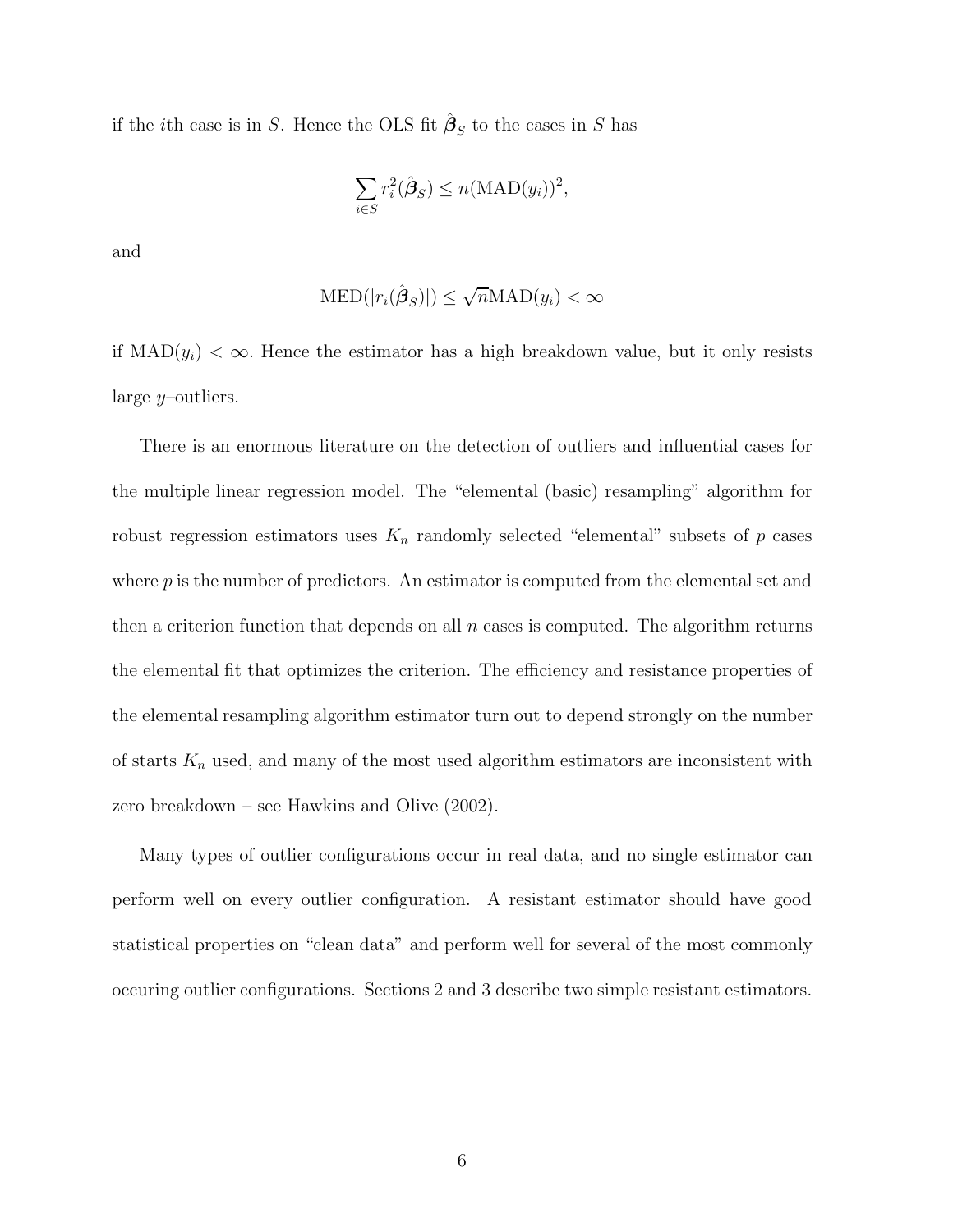if the *i*th case is in S. Hence the OLS fit  $\hat{\beta}_S$  to the cases in S has

$$
\sum_{i \in S} r_i^2(\hat{\boldsymbol{\beta}}_S) \le n(\text{MAD}(y_i))^2,
$$

and

$$
\text{MED}(|r_i(\hat{\beta}_S)|) \le \sqrt{n} \text{MAD}(y_i) < \infty
$$

if  $\text{MAD}(y_i) < \infty$ . Hence the estimator has a high breakdown value, but it only resists large y–outliers.

There is an enormous literature on the detection of outliers and influential cases for the multiple linear regression model. The "elemental (basic) resampling" algorithm for robust regression estimators uses  $K_n$  randomly selected "elemental" subsets of  $p$  cases where  $p$  is the number of predictors. An estimator is computed from the elemental set and then a criterion function that depends on all  $n$  cases is computed. The algorithm returns the elemental fit that optimizes the criterion. The efficiency and resistance properties of the elemental resampling algorithm estimator turn out to depend strongly on the number of starts  $K_n$  used, and many of the most used algorithm estimators are inconsistent with zero breakdown – see Hawkins and Olive (2002).

Many types of outlier configurations occur in real data, and no single estimator can perform well on every outlier configuration. A resistant estimator should have good statistical properties on "clean data" and perform well for several of the most commonly occuring outlier configurations. Sections 2 and 3 describe two simple resistant estimators.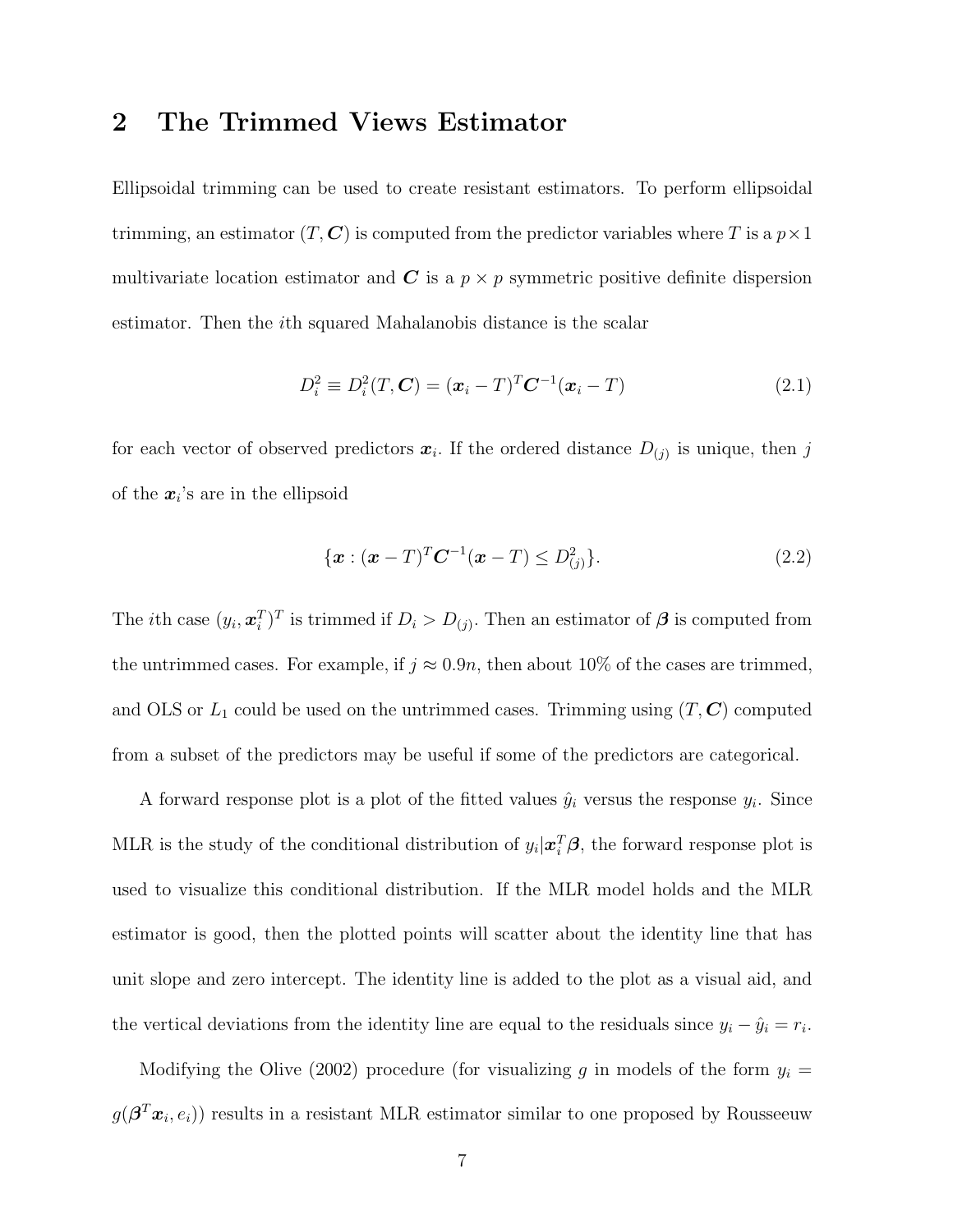#### **2 The Trimmed Views Estimator**

Ellipsoidal trimming can be used to create resistant estimators. To perform ellipsoidal trimming, an estimator  $(T, \mathbf{C})$  is computed from the predictor variables where T is a  $p \times 1$ multivariate location estimator and  $C$  is a  $p \times p$  symmetric positive definite dispersion estimator. Then the ith squared Mahalanobis distance is the scalar

$$
D_i^2 \equiv D_i^2(T, \mathbf{C}) = (\mathbf{x}_i - T)^T \mathbf{C}^{-1} (\mathbf{x}_i - T) \tag{2.1}
$$

for each vector of observed predictors  $x_i$ . If the ordered distance  $D_{(j)}$  is unique, then j of the  $x_i$ 's are in the ellipsoid

$$
\{\boldsymbol{x} : (\boldsymbol{x} - T)^{T} \boldsymbol{C}^{-1} (\boldsymbol{x} - T) \le D_{(j)}^{2} \}.
$$
\n(2.2)

The *i*th case  $(y_i, \mathbf{x}_i^T)^T$  is trimmed if  $D_i > D_{(j)}$ . Then an estimator of  $\boldsymbol{\beta}$  is computed from the untrimmed cases. For example, if  $j \approx 0.9n$ , then about 10% of the cases are trimmed, and OLS or  $L_1$  could be used on the untrimmed cases. Trimming using  $(T, \mathbb{C})$  computed from a subset of the predictors may be useful if some of the predictors are categorical.

A forward response plot is a plot of the fitted values  $\hat{y}_i$  versus the response  $y_i$ . Since MLR is the study of the conditional distribution of  $y_i|\mathbf{x}_i^T\boldsymbol{\beta}$ , the forward response plot is used to visualize this conditional distribution. If the MLR model holds and the MLR estimator is good, then the plotted points will scatter about the identity line that has unit slope and zero intercept. The identity line is added to the plot as a visual aid, and the vertical deviations from the identity line are equal to the residuals since  $y_i - \hat{y}_i = r_i$ .

Modifying the Olive (2002) procedure (for visualizing  $g$  in models of the form  $y_i =$  $g(\boldsymbol{\beta}^T\boldsymbol{x}_i, e_i)$  results in a resistant MLR estimator similar to one proposed by Rousseeuw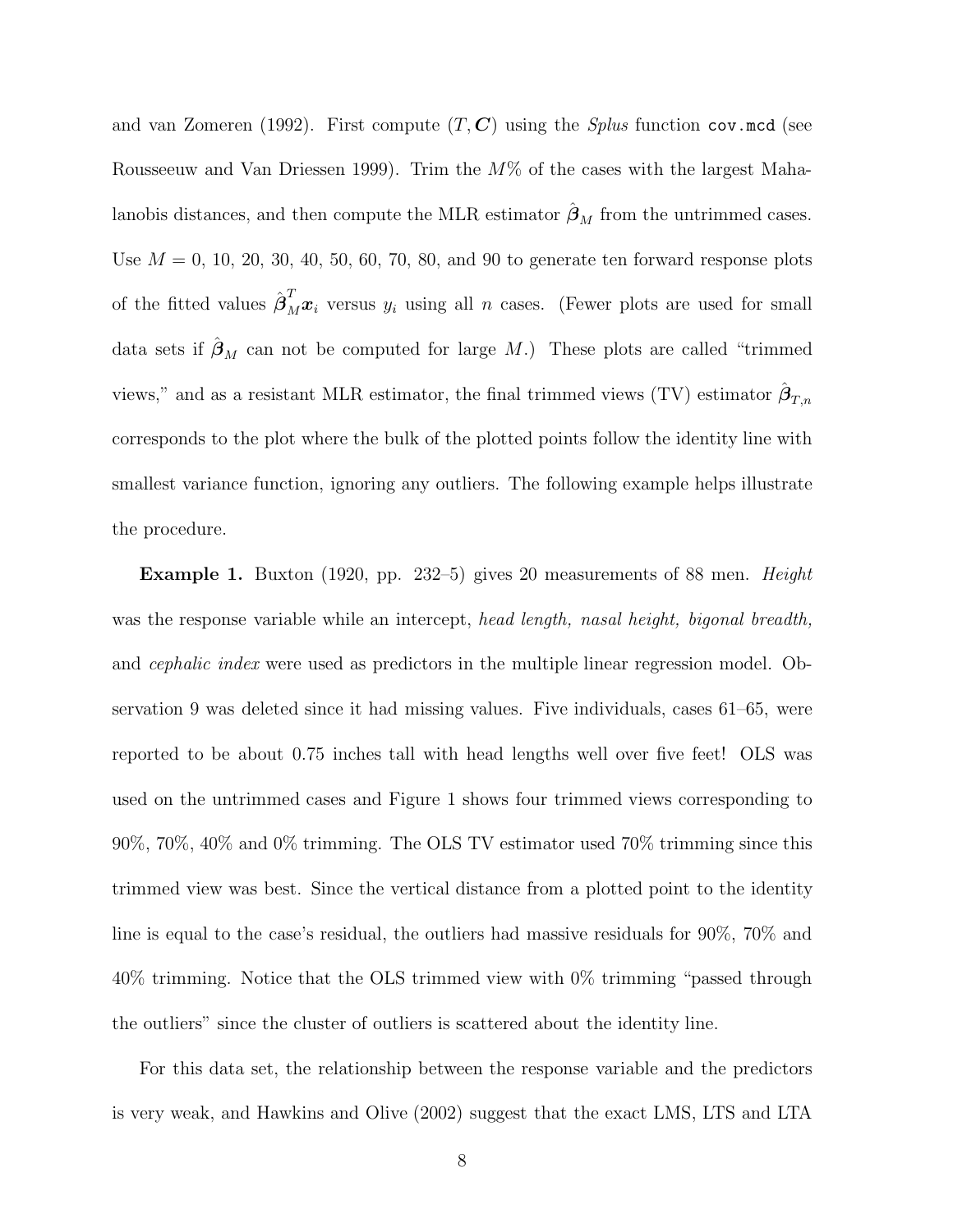and van Zomeren (1992). First compute (T, *C*) using the *Splus* function cov.mcd (see Rousseeuw and Van Driessen 1999). Trim the  $M\%$  of the cases with the largest Mahalanobis distances, and then compute the MLR estimator  $\hat{\beta}_M$  from the untrimmed cases. Use  $M = 0, 10, 20, 30, 40, 50, 60, 70, 80,$  and 90 to generate ten forward response plots of the fitted values  $\hat{\boldsymbol{\beta}}_M^T \boldsymbol{x}_i$  versus  $y_i$  using all n cases. (Fewer plots are used for small data sets if  $\beta_M$  can not be computed for large M.) These plots are called "trimmed" views," and as a resistant MLR estimator, the final trimmed views (TV) estimator  $\hat{\beta}_{T,n}$ corresponds to the plot where the bulk of the plotted points follow the identity line with smallest variance function, ignoring any outliers. The following example helps illustrate the procedure.

**Example 1.** Buxton (1920, pp. 232–5) gives 20 measurements of 88 men. *Height* was the response variable while an intercept, *head length, nasal height, bigonal breadth,* and *cephalic index* were used as predictors in the multiple linear regression model. Observation 9 was deleted since it had missing values. Five individuals, cases 61–65, were reported to be about 0.75 inches tall with head lengths well over five feet! OLS was used on the untrimmed cases and Figure 1 shows four trimmed views corresponding to 90%, 70%, 40% and 0% trimming. The OLS TV estimator used 70% trimming since this trimmed view was best. Since the vertical distance from a plotted point to the identity line is equal to the case's residual, the outliers had massive residuals for 90%, 70% and 40% trimming. Notice that the OLS trimmed view with 0% trimming "passed through the outliers" since the cluster of outliers is scattered about the identity line.

For this data set, the relationship between the response variable and the predictors is very weak, and Hawkins and Olive (2002) suggest that the exact LMS, LTS and LTA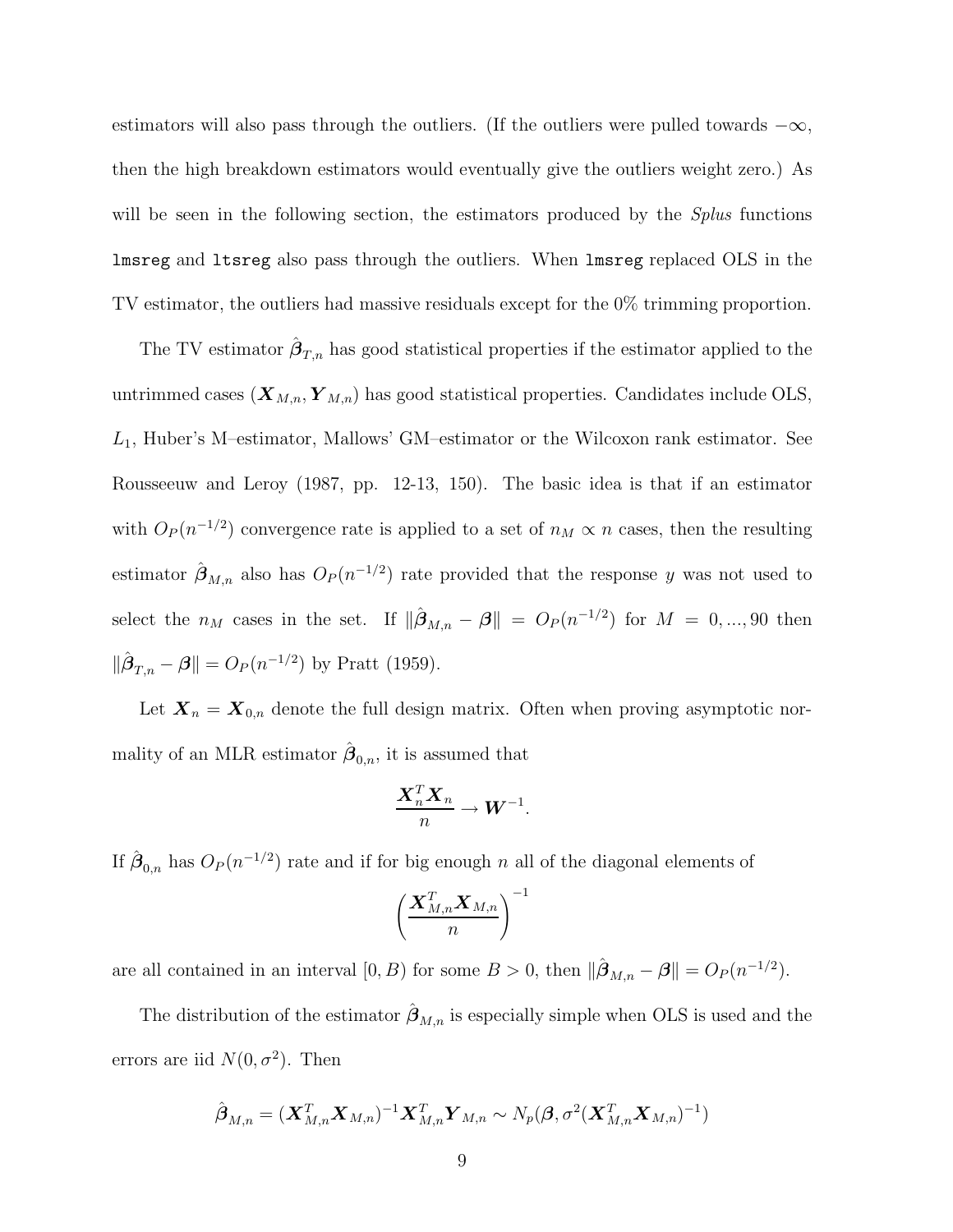estimators will also pass through the outliers. (If the outliers were pulled towards  $-\infty$ , then the high breakdown estimators would eventually give the outliers weight zero.) As will be seen in the following section, the estimators produced by the *Splus* functions lmsreg and ltsreg also pass through the outliers. When lmsreg replaced OLS in the TV estimator, the outliers had massive residuals except for the 0% trimming proportion.

The TV estimator  $\hat{\boldsymbol{\beta}}_{T,n}$  has good statistical properties if the estimator applied to the untrimmed cases  $(X_{M,n}, Y_{M,n})$  has good statistical properties. Candidates include OLS,  $L_1$ , Huber's M-estimator, Mallows' GM-estimator or the Wilcoxon rank estimator. See Rousseeuw and Leroy (1987, pp. 12-13, 150). The basic idea is that if an estimator with  $O_P(n^{-1/2})$  convergence rate is applied to a set of  $n_M \propto n$  cases, then the resulting estimator  $\hat{\boldsymbol{\beta}}_{M,n}$  also has  $O_P(n^{-1/2})$  rate provided that the response y was not used to select the  $n_M$  cases in the set. If  $\|\hat{\boldsymbol{\beta}}_{M,n} - \boldsymbol{\beta}\| = O_P(n^{-1/2})$  for  $M = 0, ..., 90$  then  $\|\hat{\boldsymbol{\beta}}_{T,n} - \boldsymbol{\beta}\| = O_P(n^{-1/2})$  by Pratt (1959).

Let  $X_n = X_{0,n}$  denote the full design matrix. Often when proving asymptotic normality of an MLR estimator  $\hat{\boldsymbol{\beta}}_{0,n}$ , it is assumed that

$$
\frac{\boldsymbol{X}_n^T\boldsymbol{X}_n}{n} \to \boldsymbol{W}^{-1}.
$$

If  $\hat{\boldsymbol{\beta}}_{0,n}$  has  $O_P(n^{-1/2})$  rate and if for big enough n all of the diagonal elements of

$$
\left(\frac{\boldsymbol{X}_{M,n}^T\boldsymbol{X}_{M,n}}{n}\right)^{-1}
$$

are all contained in an interval  $[0, B)$  for some  $B > 0$ , then  $\|\hat{\boldsymbol{\beta}}_{M,n} - \boldsymbol{\beta}\| = O_P(n^{-1/2})$ .

The distribution of the estimator  $\hat{\beta}_{M,n}$  is especially simple when OLS is used and the errors are iid  $N(0, \sigma^2)$ . Then

$$
\hat{\boldsymbol{\beta}}_{M,n} = (\boldsymbol{X}_{M,n}^T \boldsymbol{X}_{M,n})^{-1} \boldsymbol{X}_{M,n}^T \boldsymbol{Y}_{M,n} \sim N_p(\boldsymbol{\beta}, \sigma^2 (\boldsymbol{X}_{M,n}^T \boldsymbol{X}_{M,n})^{-1})
$$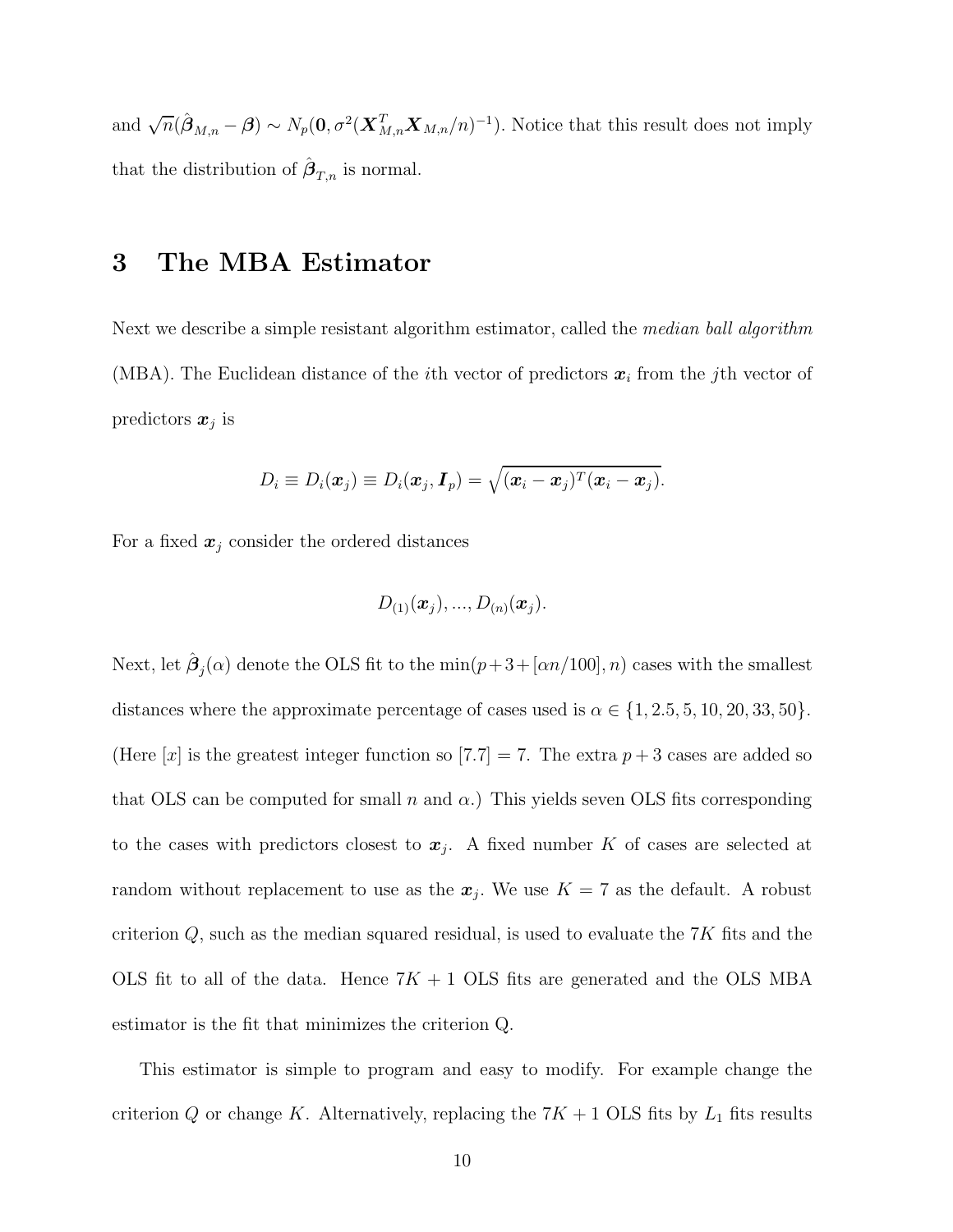and  $\sqrt{n}(\hat{\boldsymbol{\beta}}_{M,n} - \boldsymbol{\beta}) \sim N_p(\mathbf{0}, \sigma^2(\boldsymbol{X}_{M,n}^T \boldsymbol{X}_{M,n}/n)^{-1})$ . Notice that this result does not imply that the distribution of  $\hat{\boldsymbol{\beta}}_{T,n}$  is normal.

#### **3 The MBA Estimator**

Next we describe a simple resistant algorithm estimator, called the *median ball algorithm* (MBA). The Euclidean distance of the ith vector of predictors *x<sup>i</sup>* from the jth vector of predictors *x<sup>j</sup>* is

$$
D_i \equiv D_i(\boldsymbol{x}_j) \equiv D_i(\boldsymbol{x}_j, \boldsymbol{I}_p) = \sqrt{(\boldsymbol{x}_i - \boldsymbol{x}_j)^T(\boldsymbol{x}_i - \boldsymbol{x}_j)}.
$$

For a fixed  $x_j$  consider the ordered distances

$$
D_{(1)}(\bm{x}_j),...,D_{(n)}(\bm{x}_j).
$$

Next, let  $\beta_j(\alpha)$  denote the OLS fit to the min $(p+3+[\alpha n/100], n)$  cases with the smallest distances where the approximate percentage of cases used is  $\alpha \in \{1, 2.5, 5, 10, 20, 33, 50\}.$ (Here  $[x]$  is the greatest integer function so  $[7.7] = 7$ . The extra  $p + 3$  cases are added so that OLS can be computed for small n and  $\alpha$ .) This yields seven OLS fits corresponding to the cases with predictors closest to  $x_j$ . A fixed number K of cases are selected at random without replacement to use as the  $x_j$ . We use  $K = 7$  as the default. A robust criterion  $Q$ , such as the median squared residual, is used to evaluate the  $7K$  fits and the OLS fit to all of the data. Hence  $7K + 1$  OLS fits are generated and the OLS MBA estimator is the fit that minimizes the criterion Q.

This estimator is simple to program and easy to modify. For example change the criterion  $Q$  or change K. Alternatively, replacing the  $7K + 1$  OLS fits by  $L_1$  fits results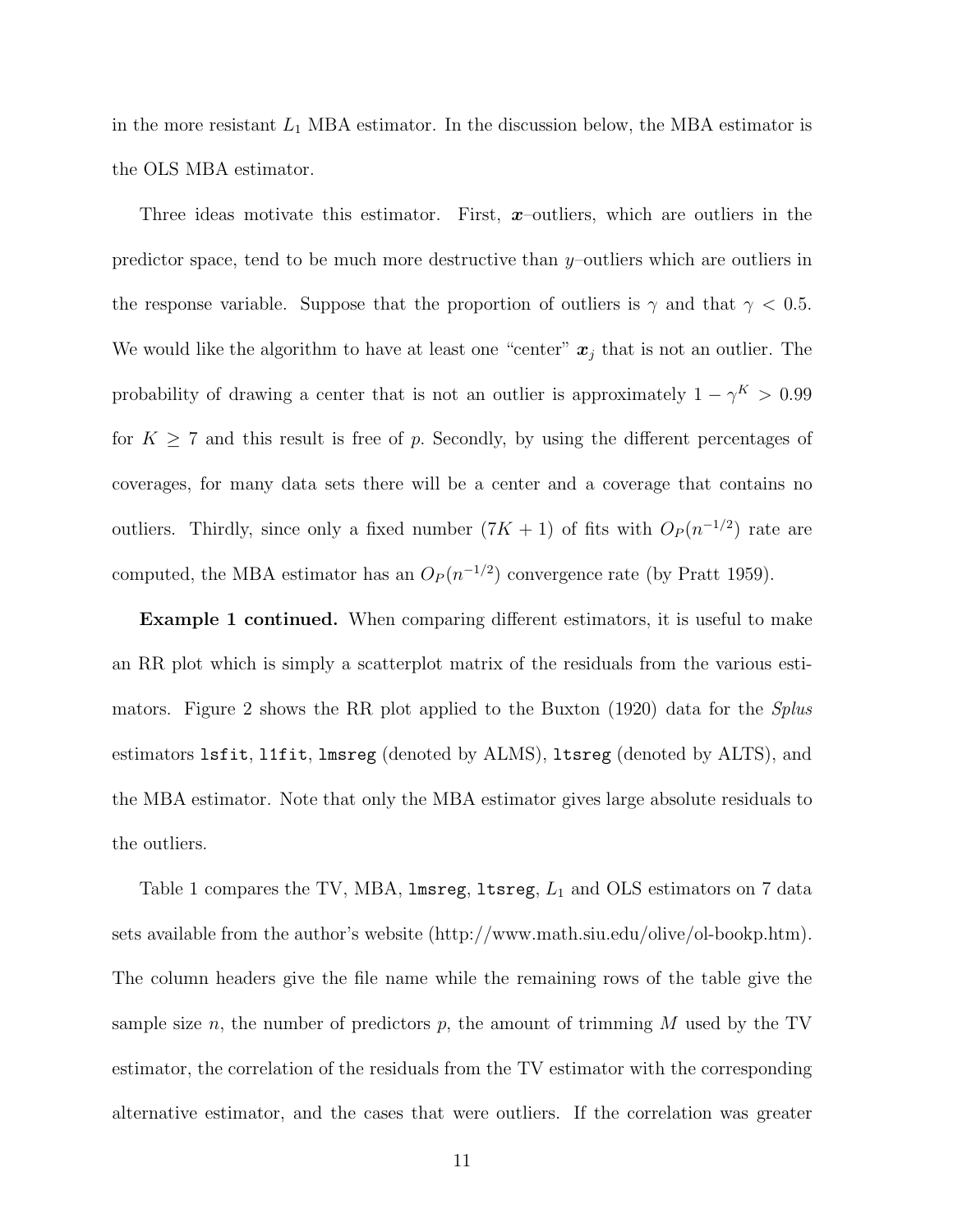in the more resistant  $L_1$  MBA estimator. In the discussion below, the MBA estimator is the OLS MBA estimator.

Three ideas motivate this estimator. First, *x*–outliers, which are outliers in the predictor space, tend to be much more destructive than y–outliers which are outliers in the response variable. Suppose that the proportion of outliers is  $\gamma$  and that  $\gamma$  < 0.5. We would like the algorithm to have at least one "center"  $x_j$  that is not an outlier. The probability of drawing a center that is not an outlier is approximately  $1 - \gamma^K > 0.99$ for  $K \geq 7$  and this result is free of p. Secondly, by using the different percentages of coverages, for many data sets there will be a center and a coverage that contains no outliers. Thirdly, since only a fixed number  $(7K + 1)$  of fits with  $O_P(n^{-1/2})$  rate are computed, the MBA estimator has an  $O_P(n^{-1/2})$  convergence rate (by Pratt 1959).

**Example 1 continued.** When comparing different estimators, it is useful to make an RR plot which is simply a scatterplot matrix of the residuals from the various estimators. Figure 2 shows the RR plot applied to the Buxton (1920) data for the *Splus* estimators lsfit, l1fit, lmsreg (denoted by ALMS), ltsreg (denoted by ALTS), and the MBA estimator. Note that only the MBA estimator gives large absolute residuals to the outliers.

Table 1 compares the TV, MBA,  $l$ msreg,  $l$ tsreg,  $L_1$  and OLS estimators on 7 data sets available from the author's website (http://www.math.siu.edu/olive/ol-bookp.htm). The column headers give the file name while the remaining rows of the table give the sample size n, the number of predictors p, the amount of trimming  $M$  used by the TV estimator, the correlation of the residuals from the TV estimator with the corresponding alternative estimator, and the cases that were outliers. If the correlation was greater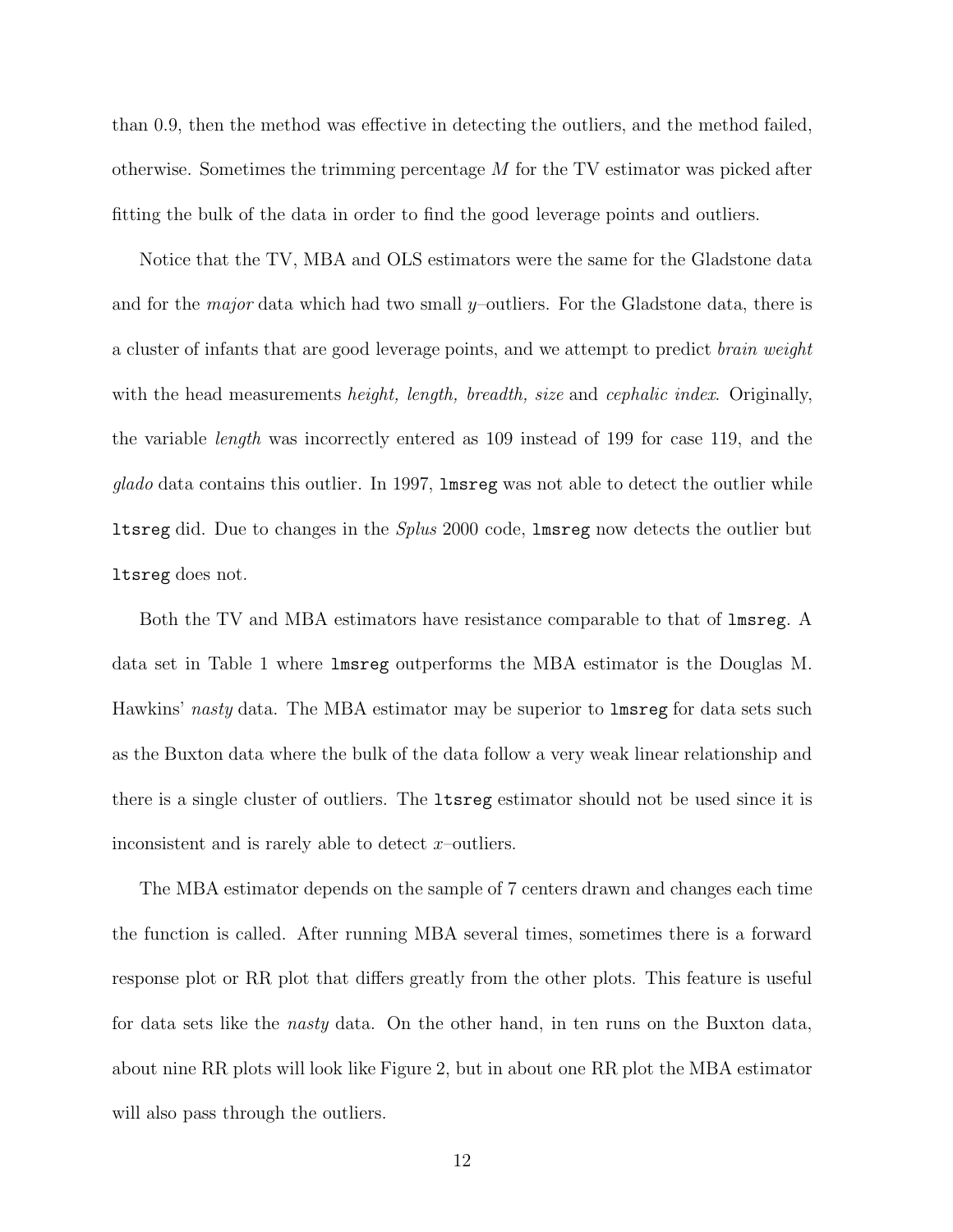than 0.9, then the method was effective in detecting the outliers, and the method failed, otherwise. Sometimes the trimming percentage M for the TV estimator was picked after fitting the bulk of the data in order to find the good leverage points and outliers.

Notice that the TV, MBA and OLS estimators were the same for the Gladstone data and for the *major* data which had two small y–outliers. For the Gladstone data, there is a cluster of infants that are good leverage points, and we attempt to predict *brain weight* with the head measurements *height, length, breadth, size* and *cephalic index*. Originally, the variable *length* was incorrectly entered as 109 instead of 199 for case 119, and the *glado* data contains this outlier. In 1997, lmsreg was not able to detect the outlier while ltsreg did. Due to changes in the *Splus* 2000 code, lmsreg now detects the outlier but ltsreg does not.

Both the TV and MBA estimators have resistance comparable to that of lmsreg. A data set in Table 1 where lmsreg outperforms the MBA estimator is the Douglas M. Hawkins' *nasty* data. The MBA estimator may be superior to lmsreg for data sets such as the Buxton data where the bulk of the data follow a very weak linear relationship and there is a single cluster of outliers. The ltsreg estimator should not be used since it is inconsistent and is rarely able to detect  $x$ –outliers.

The MBA estimator depends on the sample of 7 centers drawn and changes each time the function is called. After running MBA several times, sometimes there is a forward response plot or RR plot that differs greatly from the other plots. This feature is useful for data sets like the *nasty* data. On the other hand, in ten runs on the Buxton data, about nine RR plots will look like Figure 2, but in about one RR plot the MBA estimator will also pass through the outliers.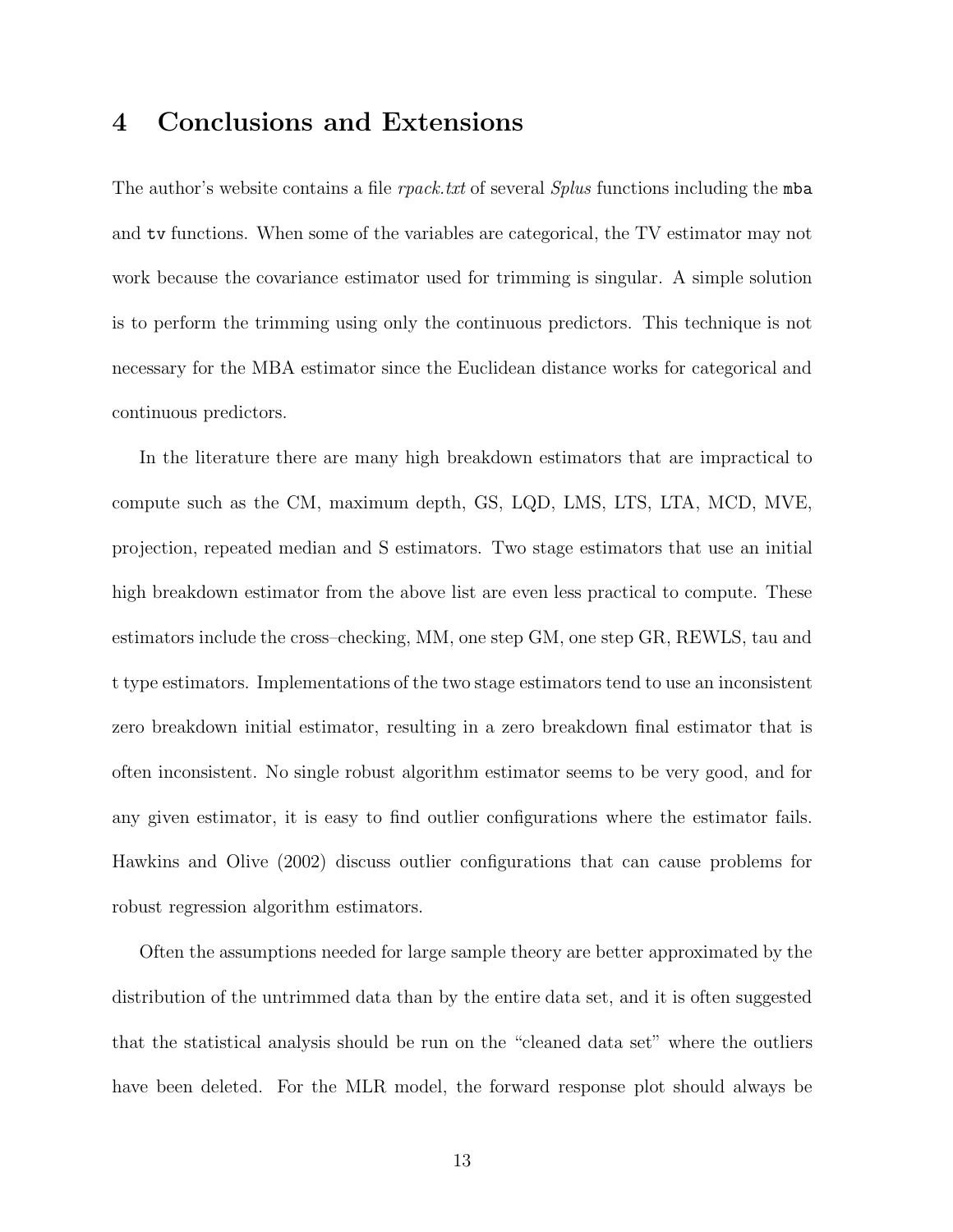### **4 Conclusions and Extensions**

The author's website contains a file *rpack.txt* of several *Splus* functions including the mba and tv functions. When some of the variables are categorical, the TV estimator may not work because the covariance estimator used for trimming is singular. A simple solution is to perform the trimming using only the continuous predictors. This technique is not necessary for the MBA estimator since the Euclidean distance works for categorical and continuous predictors.

In the literature there are many high breakdown estimators that are impractical to compute such as the CM, maximum depth, GS, LQD, LMS, LTS, LTA, MCD, MVE, projection, repeated median and S estimators. Two stage estimators that use an initial high breakdown estimator from the above list are even less practical to compute. These estimators include the cross–checking, MM, one step GM, one step GR, REWLS, tau and t type estimators. Implementations of the two stage estimators tend to use an inconsistent zero breakdown initial estimator, resulting in a zero breakdown final estimator that is often inconsistent. No single robust algorithm estimator seems to be very good, and for any given estimator, it is easy to find outlier configurations where the estimator fails. Hawkins and Olive (2002) discuss outlier configurations that can cause problems for robust regression algorithm estimators.

Often the assumptions needed for large sample theory are better approximated by the distribution of the untrimmed data than by the entire data set, and it is often suggested that the statistical analysis should be run on the "cleaned data set" where the outliers have been deleted. For the MLR model, the forward response plot should always be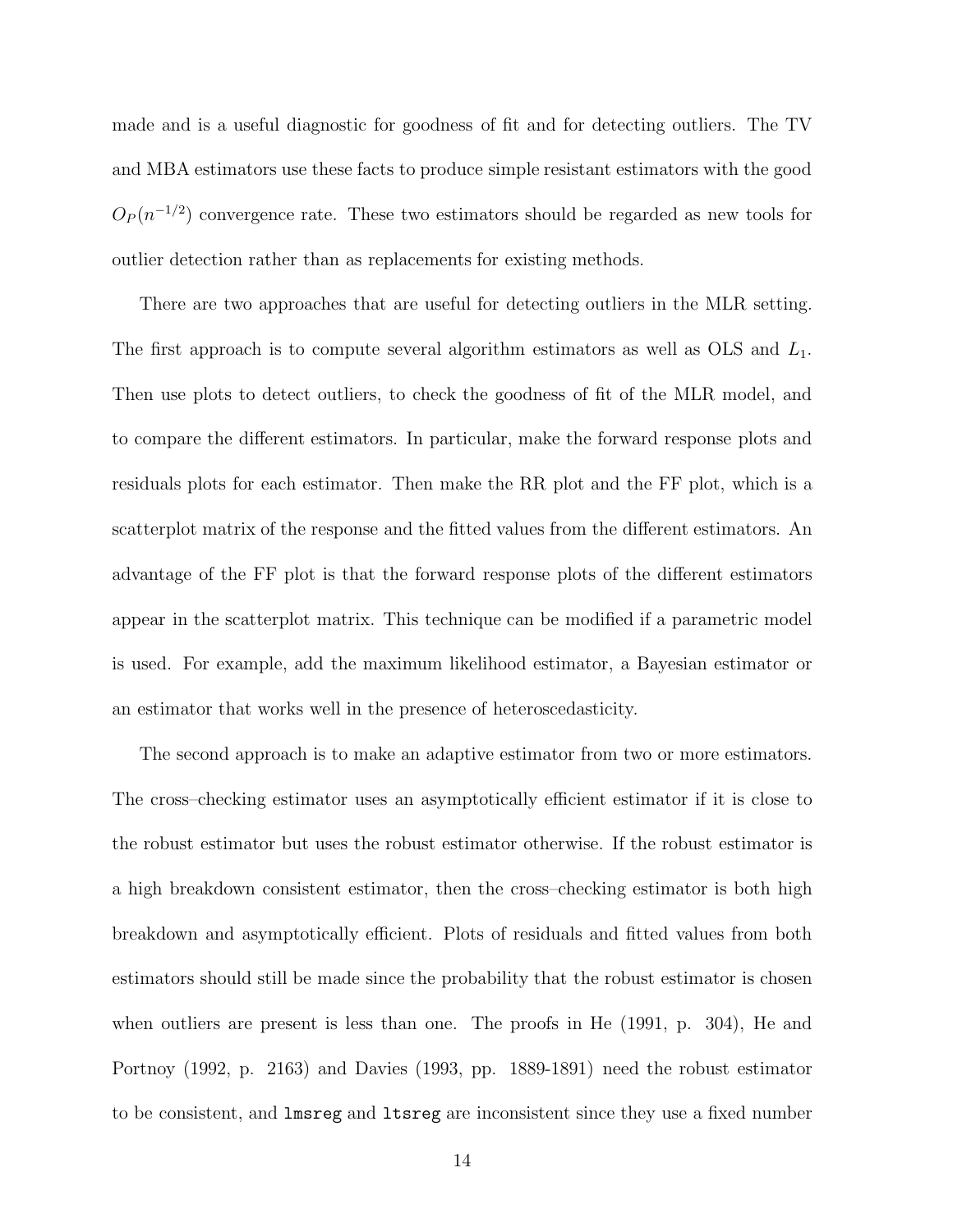made and is a useful diagnostic for goodness of fit and for detecting outliers. The TV and MBA estimators use these facts to produce simple resistant estimators with the good  $O_P(n^{-1/2})$  convergence rate. These two estimators should be regarded as new tools for outlier detection rather than as replacements for existing methods.

There are two approaches that are useful for detecting outliers in the MLR setting. The first approach is to compute several algorithm estimators as well as  $OLS$  and  $L_1$ . Then use plots to detect outliers, to check the goodness of fit of the MLR model, and to compare the different estimators. In particular, make the forward response plots and residuals plots for each estimator. Then make the RR plot and the FF plot, which is a scatterplot matrix of the response and the fitted values from the different estimators. An advantage of the FF plot is that the forward response plots of the different estimators appear in the scatterplot matrix. This technique can be modified if a parametric model is used. For example, add the maximum likelihood estimator, a Bayesian estimator or an estimator that works well in the presence of heteroscedasticity.

The second approach is to make an adaptive estimator from two or more estimators. The cross–checking estimator uses an asymptotically efficient estimator if it is close to the robust estimator but uses the robust estimator otherwise. If the robust estimator is a high breakdown consistent estimator, then the cross–checking estimator is both high breakdown and asymptotically efficient. Plots of residuals and fitted values from both estimators should still be made since the probability that the robust estimator is chosen when outliers are present is less than one. The proofs in He (1991, p. 304), He and Portnoy (1992, p. 2163) and Davies (1993, pp. 1889-1891) need the robust estimator to be consistent, and lmsreg and ltsreg are inconsistent since they use a fixed number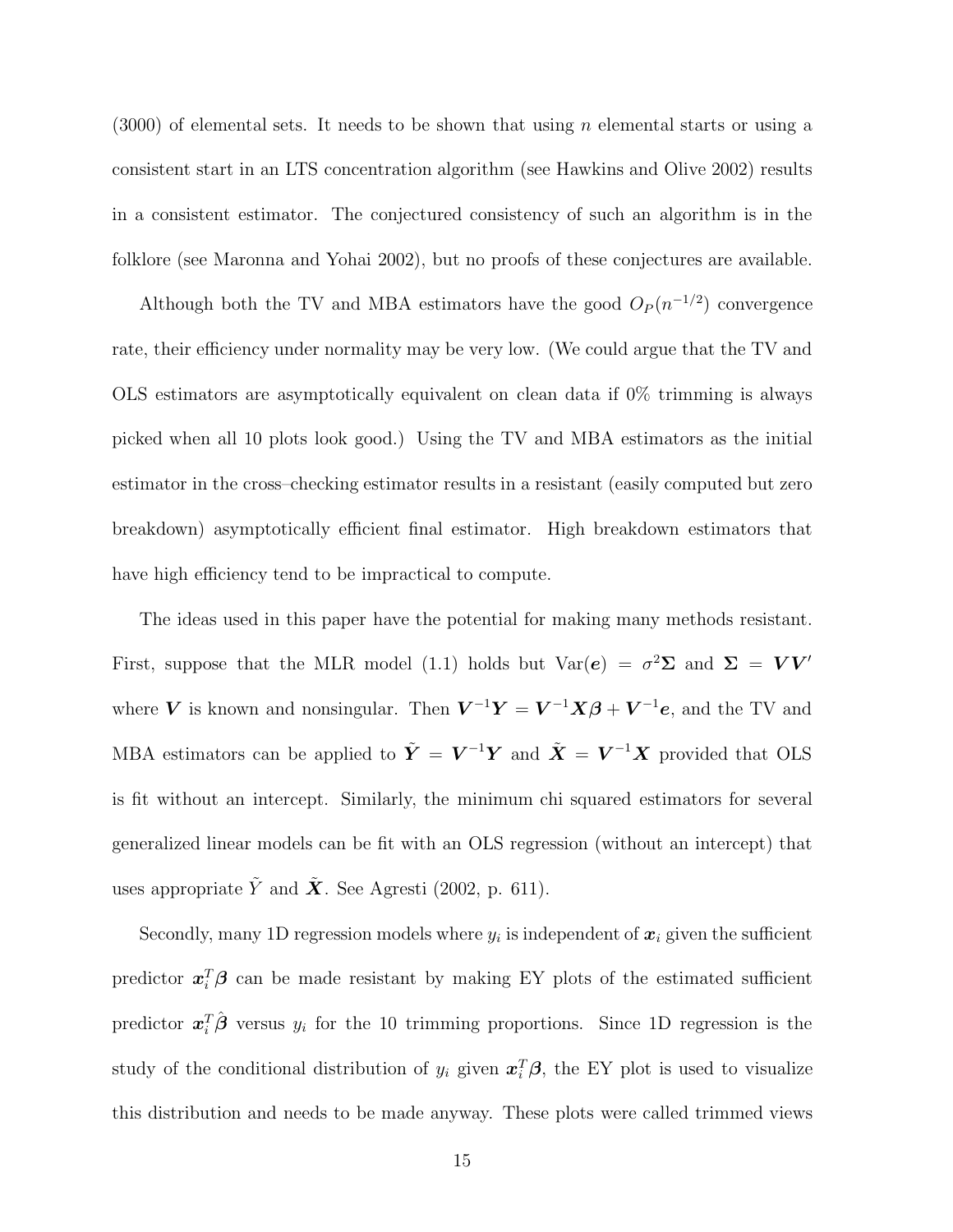$(3000)$  of elemental sets. It needs to be shown that using *n* elemental starts or using a consistent start in an LTS concentration algorithm (see Hawkins and Olive 2002) results in a consistent estimator. The conjectured consistency of such an algorithm is in the folklore (see Maronna and Yohai 2002), but no proofs of these conjectures are available.

Although both the TV and MBA estimators have the good  $O_P(n^{-1/2})$  convergence rate, their efficiency under normality may be very low. (We could argue that the TV and OLS estimators are asymptotically equivalent on clean data if 0% trimming is always picked when all 10 plots look good.) Using the TV and MBA estimators as the initial estimator in the cross–checking estimator results in a resistant (easily computed but zero breakdown) asymptotically efficient final estimator. High breakdown estimators that have high efficiency tend to be impractical to compute.

The ideas used in this paper have the potential for making many methods resistant. First, suppose that the MLR model (1.1) holds but  $Var(e) = \sigma^2 \Sigma$  and  $\Sigma = V V'$ where *V* is known and nonsingular. Then  $V^{-1}Y = V^{-1}X\beta + V^{-1}e$ , and the TV and MBA estimators can be applied to  $\tilde{Y} = V^{-1}Y$  and  $\tilde{X} = V^{-1}X$  provided that OLS is fit without an intercept. Similarly, the minimum chi squared estimators for several generalized linear models can be fit with an OLS regression (without an intercept) that uses appropriate  $\tilde{Y}$  and  $\tilde{X}$ . See Agresti (2002, p. 611).

Secondly, many 1D regression models where  $y_i$  is independent of  $x_i$  given the sufficient predictor  $x_i^T \beta$  can be made resistant by making EY plots of the estimated sufficient predictor  $x_i^T \hat{\boldsymbol{\beta}}$  versus  $y_i$  for the 10 trimming proportions. Since 1D regression is the study of the conditional distribution of  $y_i$  given  $x_i^T \beta$ , the EY plot is used to visualize this distribution and needs to be made anyway. These plots were called trimmed views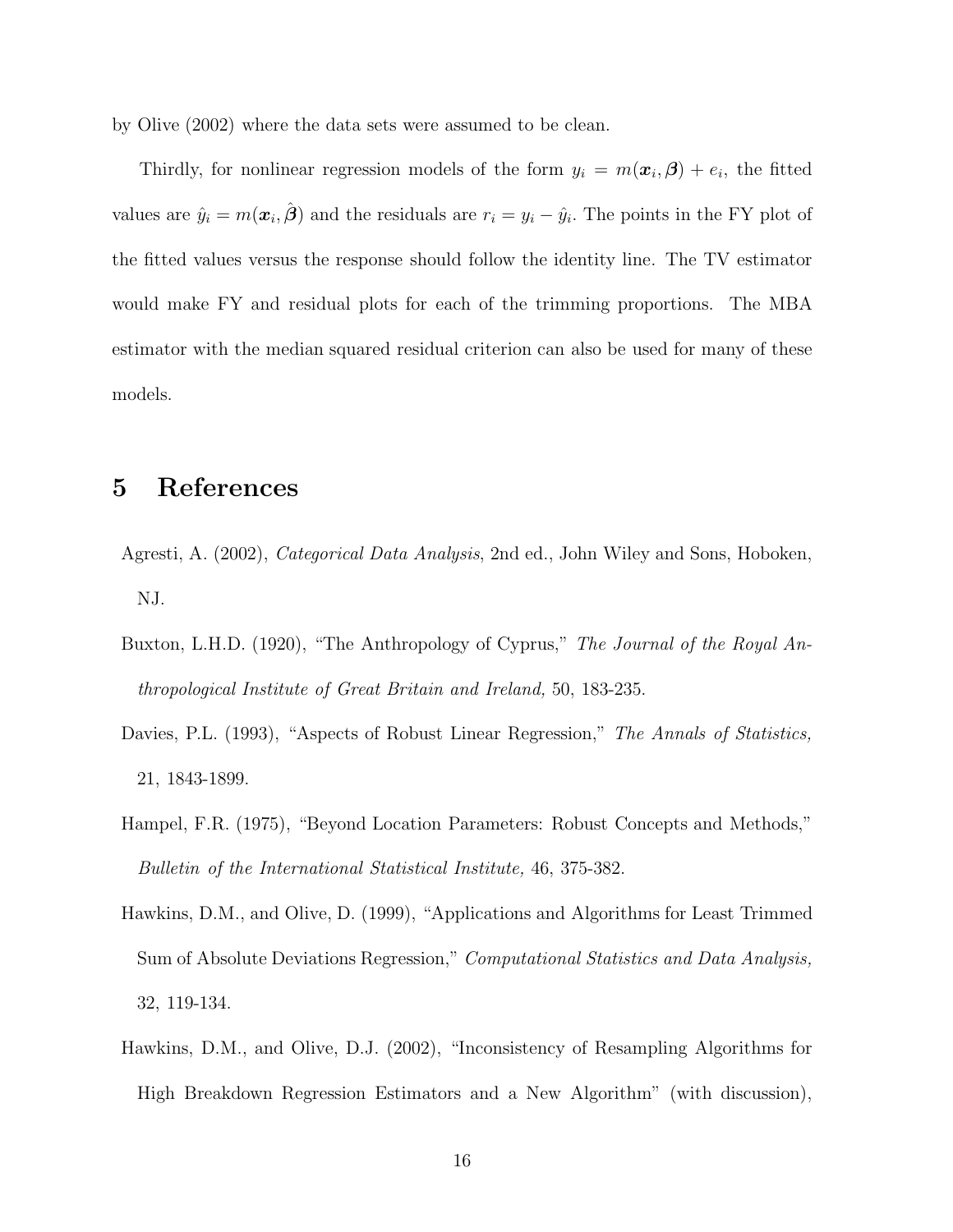by Olive (2002) where the data sets were assumed to be clean.

Thirdly, for nonlinear regression models of the form  $y_i = m(\boldsymbol{x}_i, \boldsymbol{\beta}) + e_i$ , the fitted values are  $\hat{y}_i = m(\boldsymbol{x}_i, \hat{\boldsymbol{\beta}})$  and the residuals are  $r_i = y_i - \hat{y}_i$ . The points in the FY plot of the fitted values versus the response should follow the identity line. The TV estimator would make FY and residual plots for each of the trimming proportions. The MBA estimator with the median squared residual criterion can also be used for many of these models.

#### **5 References**

- Agresti, A. (2002), *Categorical Data Analysis*, 2nd ed., John Wiley and Sons, Hoboken, NJ.
- Buxton, L.H.D. (1920), "The Anthropology of Cyprus," *The Journal of the Royal Anthropological Institute of Great Britain and Ireland,* 50, 183-235.
- Davies, P.L. (1993), "Aspects of Robust Linear Regression," *The Annals of Statistics,* 21, 1843-1899.
- Hampel, F.R. (1975), "Beyond Location Parameters: Robust Concepts and Methods," *Bulletin of the International Statistical Institute,* 46, 375-382.
- Hawkins, D.M., and Olive, D. (1999), "Applications and Algorithms for Least Trimmed Sum of Absolute Deviations Regression," *Computational Statistics and Data Analysis,* 32, 119-134.
- Hawkins, D.M., and Olive, D.J. (2002), "Inconsistency of Resampling Algorithms for High Breakdown Regression Estimators and a New Algorithm" (with discussion),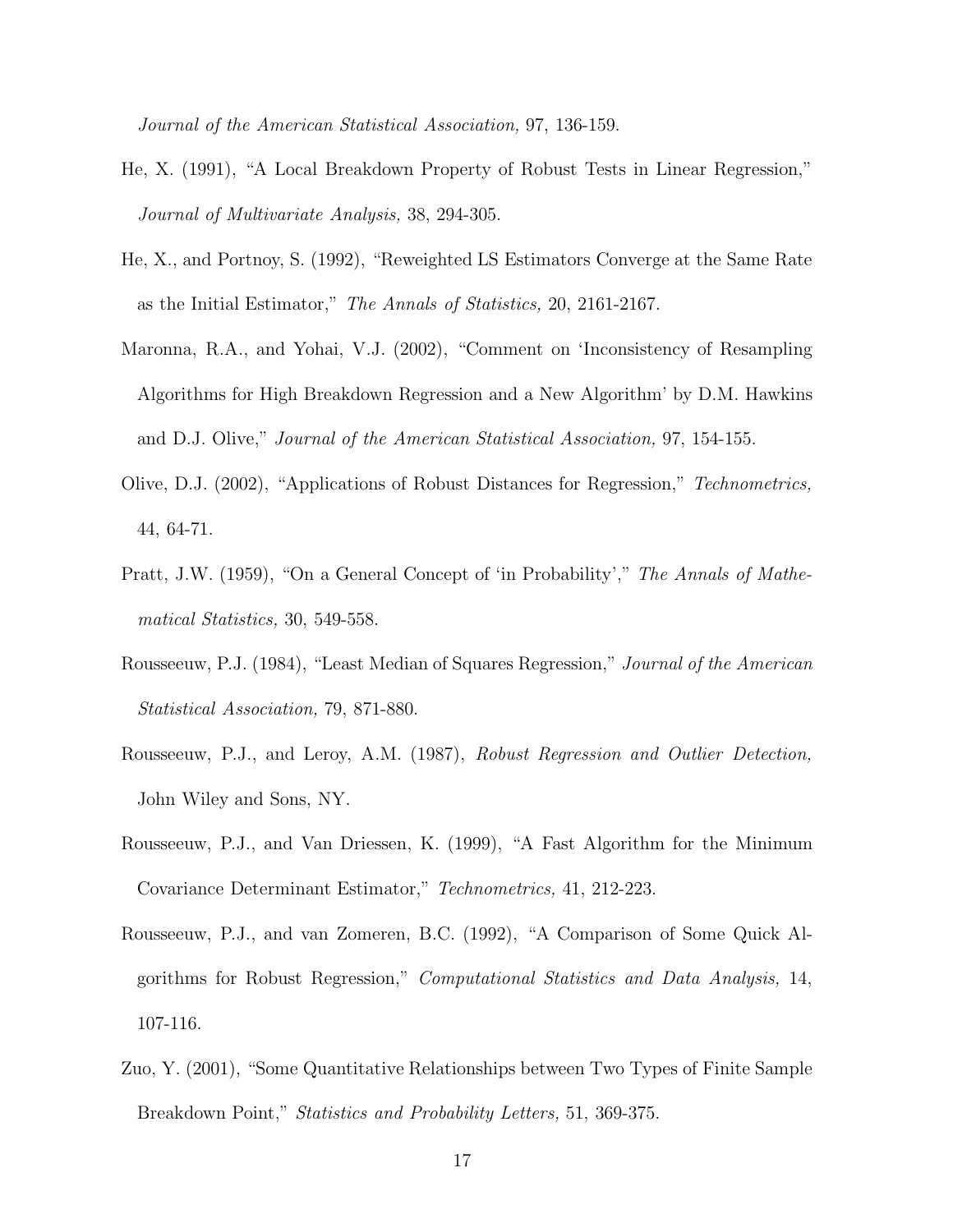*Journal of the American Statistical Association,* 97, 136-159.

- He, X. (1991), "A Local Breakdown Property of Robust Tests in Linear Regression," *Journal of Multivariate Analysis,* 38, 294-305.
- He, X., and Portnoy, S. (1992), "Reweighted LS Estimators Converge at the Same Rate as the Initial Estimator," *The Annals of Statistics,* 20, 2161-2167.
- Maronna, R.A., and Yohai, V.J. (2002), "Comment on 'Inconsistency of Resampling Algorithms for High Breakdown Regression and a New Algorithm' by D.M. Hawkins and D.J. Olive," *Journal of the American Statistical Association,* 97, 154-155.
- Olive, D.J. (2002), "Applications of Robust Distances for Regression," *Technometrics,* 44, 64-71.
- Pratt, J.W. (1959), "On a General Concept of 'in Probability'," *The Annals of Mathematical Statistics,* 30, 549-558.
- Rousseeuw, P.J. (1984), "Least Median of Squares Regression," *Journal of the American Statistical Association,* 79, 871-880.
- Rousseeuw, P.J., and Leroy, A.M. (1987), *Robust Regression and Outlier Detection,* John Wiley and Sons, NY.
- Rousseeuw, P.J., and Van Driessen, K. (1999), "A Fast Algorithm for the Minimum Covariance Determinant Estimator," *Technometrics,* 41, 212-223.
- Rousseeuw, P.J., and van Zomeren, B.C. (1992), "A Comparison of Some Quick Algorithms for Robust Regression," *Computational Statistics and Data Analysis,* 14, 107-116.
- Zuo, Y. (2001), "Some Quantitative Relationships between Two Types of Finite Sample Breakdown Point," *Statistics and Probability Letters,* 51, 369-375.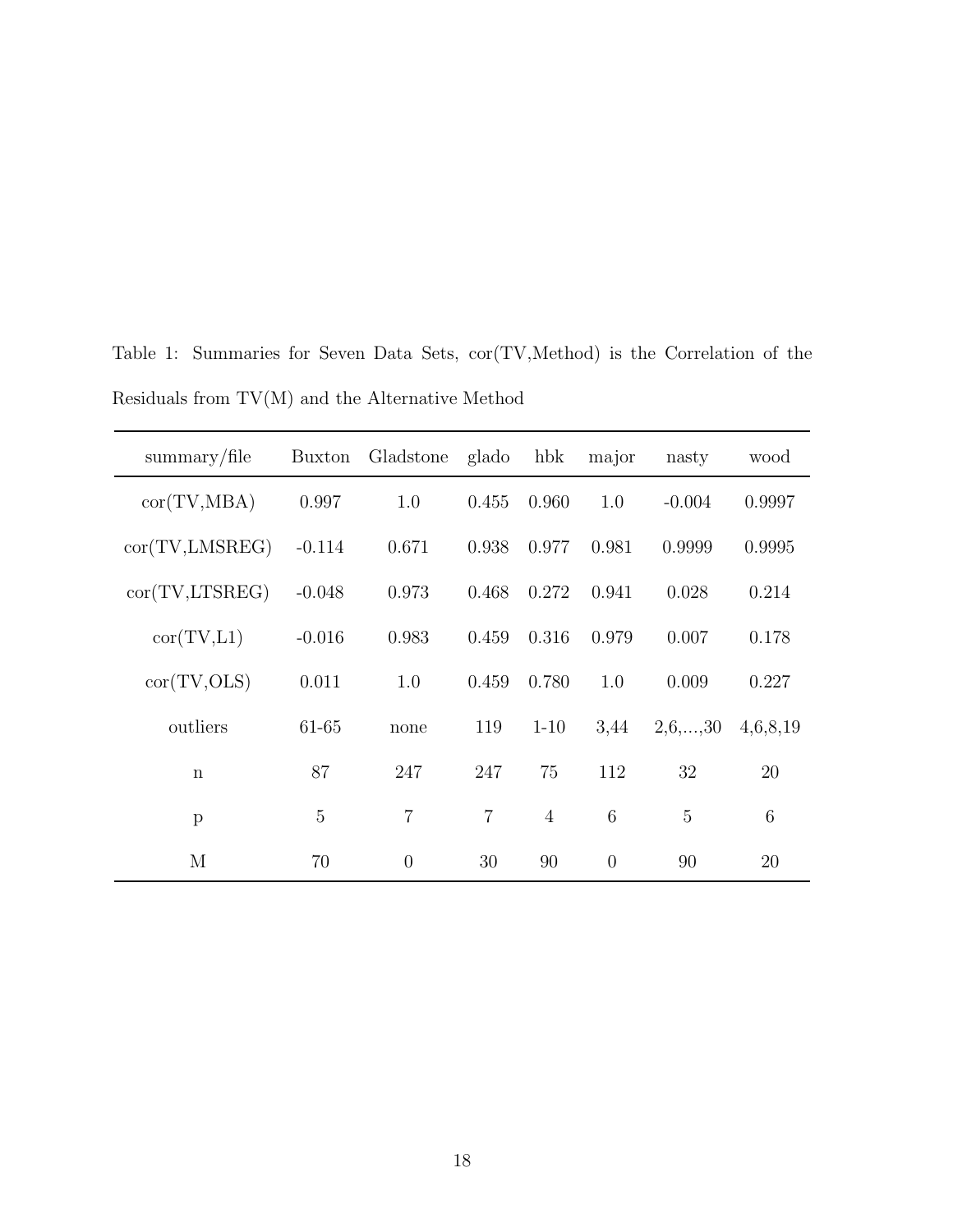| $\mathrm{summary}/\mathrm{file}$ | Buxton   | Gladstone      | glado          | hbk            | major          | nasty          | wood            |
|----------------------------------|----------|----------------|----------------|----------------|----------------|----------------|-----------------|
| cor(TV, MBA)                     | 0.997    | 1.0            | 0.455          | 0.960          | 1.0            | $-0.004$       | 0.9997          |
| cor(TV, LMSREG)                  | $-0.114$ | 0.671          | 0.938          | 0.977          | 0.981          | 0.9999         | 0.9995          |
| cor(TV,LTSREG)                   | $-0.048$ | 0.973          | 0.468          | 0.272          | 0.941          | 0.028          | 0.214           |
| cor(TV, L1)                      | $-0.016$ | 0.983          | 0.459          | 0.316          | 0.979          | 0.007          | 0.178           |
| cor(TV,OLS)                      | 0.011    | 1.0            | 0.459          | 0.780          | 1.0            | 0.009          | 0.227           |
| outliers                         | 61-65    | none           | 119            | $1 - 10$       | 3,44           | 2,6,,30        | 4,6,8,19        |
| $\mathbf n$                      | 87       | 247            | 247            | 75             | 112            | 32             | 20              |
| $\mathbf{p}$                     | 5        | $\overline{7}$ | $\overline{7}$ | $\overline{4}$ | 6              | $\overline{5}$ | $6\phantom{.}6$ |
| М                                | 70       | $\overline{0}$ | 30             | 90             | $\overline{0}$ | 90             | 20              |

Table 1: Summaries for Seven Data Sets, cor(TV,Method) is the Correlation of the Residuals from TV(M) and the Alternative Method